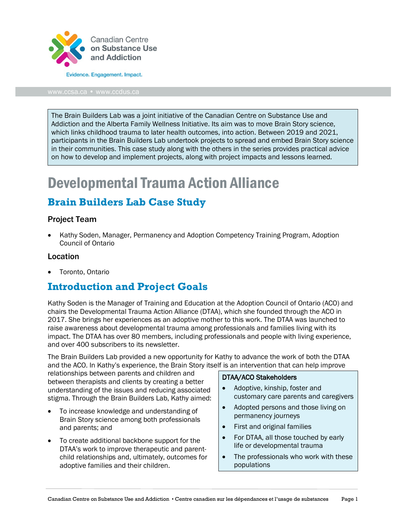

[www.ccsa.ca](http://www.ccsa.ca/) • www.ccdus.ca

The Brain Builders Lab was a joint initiative of the Canadian Centre on Substance Use and Addiction and the Alberta Family Wellness Initiative. Its aim was to move Brain Story science, which links childhood trauma to later health outcomes, into action. Between 2019 and 2021, participants in the Brain Builders Lab undertook projects to spread and embed Brain Story science in their communities. This case study along with the others in the series provides practical advice on how to develop and implement projects, along with project impacts and lessons learned.

# Developmental Trauma Action Alliance

# **Brain Builders Lab Case Study**

#### Project Team

• Kathy Soden, Manager, Permanency and Adoption Competency Training Program, Adoption Council of Ontario

#### Location

• Toronto, Ontario

## **Introduction and Project Goals**

Kathy Soden is the Manager of Training and Education at the Adoption Council of Ontario (ACO) and chairs the Developmental Trauma Action Alliance (DTAA), which she founded through the ACO in 2017. She brings her experiences as an adoptive mother to this work. The DTAA was launched to raise awareness about developmental trauma among professionals and families living with its impact. The DTAA has over 80 members, including professionals and people with living experience, and over 400 subscribers to its newsletter.

The Brain Builders Lab provided a new opportunity for Kathy to advance the work of both the DTAA and the ACO. In Kathy's experience, the Brain Story itself is an intervention that can help improve

relationships between parents and children and between therapists and clients by creating a better understanding of the issues and reducing associated stigma. Through the Brain Builders Lab, Kathy aimed:

- To increase knowledge and understanding of Brain Story science among both professionals and parents; and
- To create additional backbone support for the DTAA's work to improve therapeutic and parentchild relationships and, ultimately, outcomes for adoptive families and their children.

#### DTAA/ACO Stakeholders

- Adoptive, kinship, foster and customary care parents and caregivers
- Adopted persons and those living on permanency journeys
- First and original families
- For DTAA, all those touched by early life or developmental trauma
- The professionals who work with these populations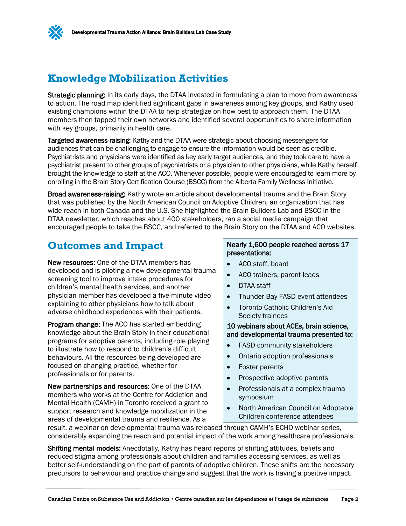

### **Knowledge Mobilization Activities**

Strategic planning: In its early days, the DTAA invested in formulating a plan to move from awareness to action. The road map identified significant gaps in awareness among key groups, and Kathy used existing champions within the DTAA to help strategize on how best to approach them. The DTAA members then tapped their own networks and identified several opportunities to share information with key groups, primarily in health care.

Targeted awareness-raising: Kathy and the DTAA were strategic about choosing messengers for audiences that can be challenging to engage to ensure the information would be seen as credible. Psychiatrists and physicians were identified as key early target audiences, and they took care to have a psychiatrist present to other groups of psychiatrists or a physician to other physicians, while Kathy herself brought the knowledge to staff at the ACO. Whenever possible, people were encouraged to learn more by enrolling in the Brain Story Certification Course (BSCC) from the Alberta Family Wellness Initiative.

Broad awareness-raising: Kathy wrote an article about developmental trauma and the Brain Story that was published by the North American Council on Adoptive Children, an organization that has wide reach in both Canada and the U.S. She highlighted the Brain Builders Lab and BSCC in the DTAA newsletter, which reaches about 400 stakeholders, ran a social media campaign that encouraged people to take the BSCC, and referred to the Brain Story on the DTAA and ACO websites.

### **Outcomes and Impact**

New resources: One of the DTAA members has developed and is piloting a new developmental trauma screening tool to improve intake procedures for children's mental health services, and another physician member has developed a five-minute video explaining to other physicians how to talk about adverse childhood experiences with their patients.

Program change: The ACO has started embedding knowledge about the Brain Story in their educational programs for adoptive parents, including role playing to illustrate how to respond to children's difficult behaviours. All the resources being developed are focused on changing practice, whether for professionals or for parents.

New partnerships and resources: One of the DTAA members who works at the Centre for Addiction and Mental Health (CAMH) in Toronto received a grant to support research and knowledge mobilization in the areas of developmental trauma and resilience. As a

#### Nearly 1,600 people reached across 17 presentations:

- ACO staff, board
- ACO trainers, parent leads
- DTAA staff
- Thunder Bay FASD event attendees
- Toronto Catholic Children's Aid Society trainees

#### 10 webinars about ACEs, brain science, and developmental trauma presented to:

- FASD community stakeholders
- Ontario adoption professionals
- Foster parents
- Prospective adoptive parents
- Professionals at a complex trauma symposium
- North American Council on Adoptable Children conference attendees

result, a webinar on developmental trauma was released through CAMH's ECHO webinar series, considerably expanding the reach and potential impact of the work among healthcare professionals.

Shifting mental models: Anecdotally, Kathy has heard reports of shifting attitudes, beliefs and reduced stigma among professionals about children and families accessing services, as well as better self-understanding on the part of parents of adoptive children. These shifts are the necessary precursors to behaviour and practice change and suggest that the work is having a positive impact.